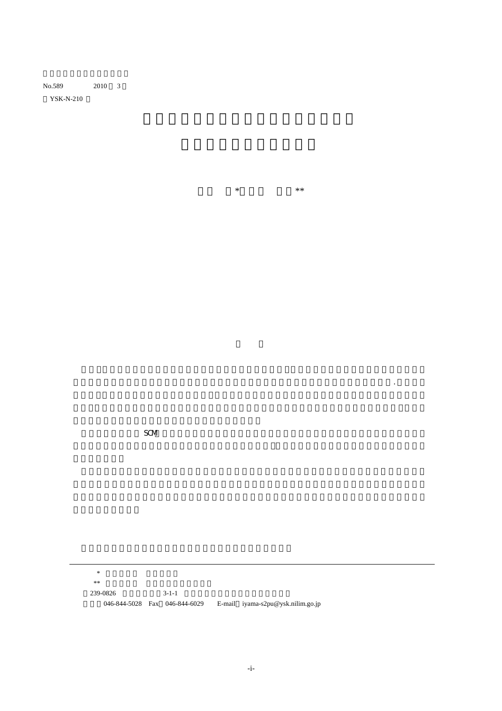YSK-N-210

井山 繁\*・渡部 富博\*\*

が大きく増加し,コンテナ船の大型化やハブ港湾整備,航路の新設や便数の増加等が相次いだ.しかし最

 $SCM$ 

 $\mathcal{R}$  $*$  米米 地震 地震 地震 地震 地震 地震 地震 地震 地震 地震 地震 239-0826 3-1-1 電話:046-844-5028 Fax 046-844-6029 E-mail iyama-s2pu@ysk.nilim.go.jp